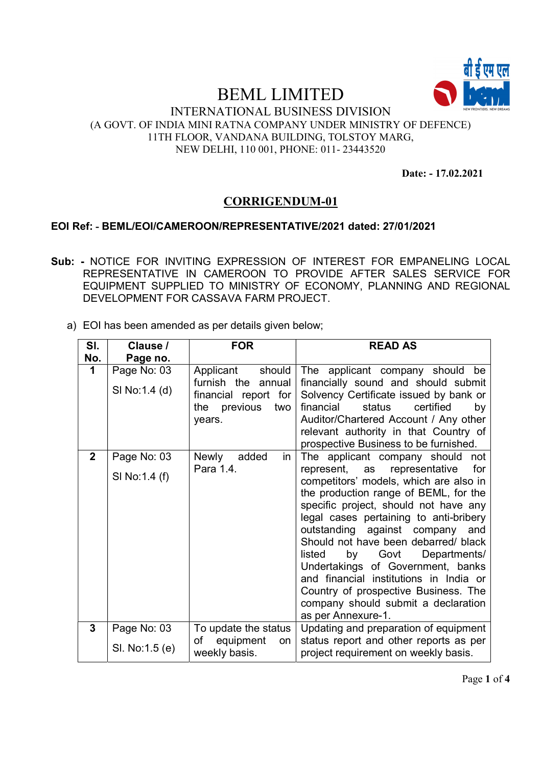

#### INTERNATIONAL BUSINESS DIVISION (A GOVT. OF INDIA MINI RATNA COMPANY UNDER MINISTRY OF DEFENCE) 11TH FLOOR, VANDANA BUILDING, TOLSTOY MARG, NEW DELHI, 110 001, PHONE: 011- 23443520

Date: - 17.02.2021

### CORRIGENDUM-01

#### EOI Ref: - BEML/EOI/CAMEROON/REPRESENTATIVE/2021 dated: 27/01/2021

- Sub: NOTICE FOR INVITING EXPRESSION OF INTEREST FOR EMPANELING LOCAL REPRESENTATIVE IN CAMEROON TO PROVIDE AFTER SALES SERVICE FOR EQUIPMENT SUPPLIED TO MINISTRY OF ECONOMY, PLANNING AND REGIONAL DEVELOPMENT FOR CASSAVA FARM PROJECT.
	- a) EOI has been amended as per details given below;

| SI.<br>No.   | Clause /<br>Page no. | <b>FOR</b>                                                                     | <b>READ AS</b>                                                                                                                                                                                                                                                                                                                                                                                                                                                                                                      |
|--------------|----------------------|--------------------------------------------------------------------------------|---------------------------------------------------------------------------------------------------------------------------------------------------------------------------------------------------------------------------------------------------------------------------------------------------------------------------------------------------------------------------------------------------------------------------------------------------------------------------------------------------------------------|
| 1            | Page No: 03          | Applicant<br>should                                                            | The applicant company should<br>be                                                                                                                                                                                                                                                                                                                                                                                                                                                                                  |
|              | SI No:1.4 (d)        | furnish the annual<br>financial report for<br>previous<br>the<br>two<br>years. | financially sound and should submit<br>Solvency Certificate issued by bank or<br>financial<br>status<br>certified<br>by<br>Auditor/Chartered Account / Any other<br>relevant authority in that Country of<br>prospective Business to be furnished.                                                                                                                                                                                                                                                                  |
| $\mathbf{2}$ | Page No: 03          | added<br>Newly<br>in                                                           | The applicant company should<br>not                                                                                                                                                                                                                                                                                                                                                                                                                                                                                 |
|              | SI No:1.4 (f)        | Para 1.4.                                                                      | represent, as representative<br>for<br>competitors' models, which are also in<br>the production range of BEML, for the<br>specific project, should not have any<br>legal cases pertaining to anti-bribery<br>outstanding against company<br>and<br>Should not have been debarred/ black<br>Govt<br>Departments/<br>listed<br>by<br>Undertakings of Government, banks<br>and financial institutions in India or<br>Country of prospective Business. The<br>company should submit a declaration<br>as per Annexure-1. |
| $\mathbf{3}$ | Page No: 03          | To update the status<br>of equipment<br><b>on</b>                              | Updating and preparation of equipment<br>status report and other reports as per                                                                                                                                                                                                                                                                                                                                                                                                                                     |
|              | SI. No:1.5 (e)       | weekly basis.                                                                  | project requirement on weekly basis.                                                                                                                                                                                                                                                                                                                                                                                                                                                                                |

Page 1 of 4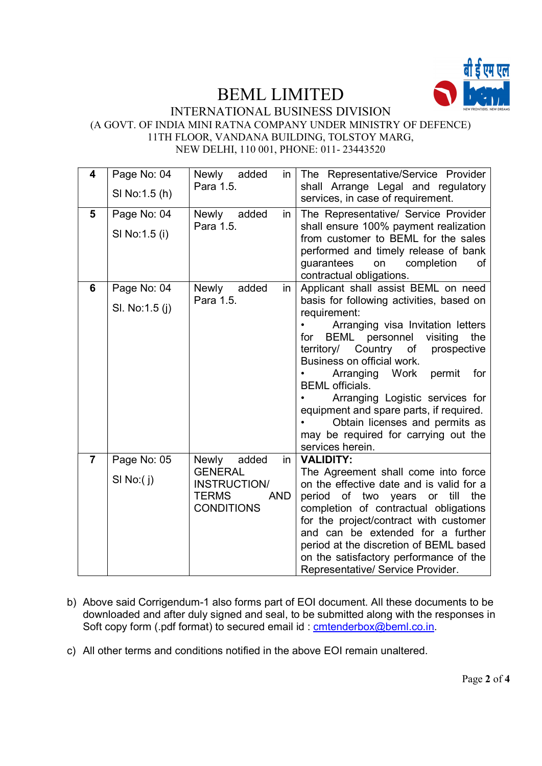

#### INTERNATIONAL BUSINESS DIVISION (A GOVT. OF INDIA MINI RATNA COMPANY UNDER MINISTRY OF DEFENCE) 11TH FLOOR, VANDANA BUILDING, TOLSTOY MARG, NEW DELHI, 110 001, PHONE: 011- 23443520

| 4              | Page No: 04<br>SI No:1.5 (h)  | Newly added<br>in.<br>Para 1.5.                                                                                      | The Representative/Service Provider<br>shall Arrange Legal and regulatory<br>services, in case of requirement.                                                                                                                                                                                                                                                                                                                                                                                  |
|----------------|-------------------------------|----------------------------------------------------------------------------------------------------------------------|-------------------------------------------------------------------------------------------------------------------------------------------------------------------------------------------------------------------------------------------------------------------------------------------------------------------------------------------------------------------------------------------------------------------------------------------------------------------------------------------------|
| 5              | Page No: 04<br>SI No: 1.5 (i) | added<br>Newly<br>in<br>Para 1.5.                                                                                    | The Representative/ Service Provider<br>shall ensure 100% payment realization<br>from customer to BEML for the sales<br>performed and timely release of bank<br>completion<br>guarantees<br>on<br>of<br>contractual obligations.                                                                                                                                                                                                                                                                |
| 6              | Page No: 04<br>SI. No:1.5 (j) | added<br>Newly<br>in<br>Para 1.5.                                                                                    | Applicant shall assist BEML on need<br>basis for following activities, based on<br>requirement:<br>Arranging visa Invitation letters<br>visiting<br>BEML personnel<br>the<br>for<br>territory/ Country of<br>prospective<br>Business on official work.<br>Arranging Work<br>permit<br>for<br><b>BEML</b> officials.<br>Arranging Logistic services for<br>equipment and spare parts, if required.<br>Obtain licenses and permits as<br>may be required for carrying out the<br>services herein. |
| $\overline{7}$ | Page No: 05<br>SI No:(j)      | added<br>$\mathsf{in}$<br>Newly<br><b>GENERAL</b><br>INSTRUCTION/<br><b>TERMS</b><br><b>AND</b><br><b>CONDITIONS</b> | <b>VALIDITY:</b><br>The Agreement shall come into force<br>on the effective date and is valid for a<br>period<br>of two years<br>till<br>the<br>or<br>completion of contractual obligations<br>for the project/contract with customer<br>and can be extended for a further<br>period at the discretion of BEML based<br>on the satisfactory performance of the<br>Representative/ Service Provider.                                                                                             |

- b) Above said Corrigendum-1 also forms part of EOI document. All these documents to be downloaded and after duly signed and seal, to be submitted along with the responses in Soft copy form (.pdf format) to secured email id : cmtenderbox@beml.co.in.
- c) All other terms and conditions notified in the above EOI remain unaltered.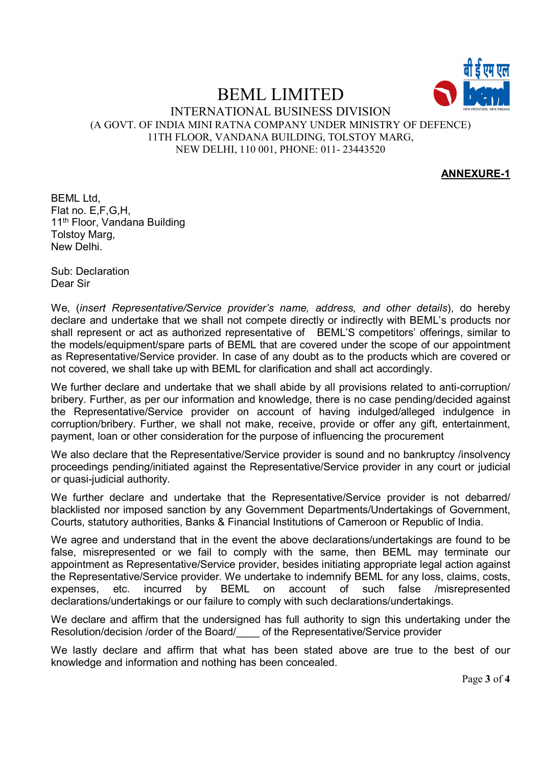

#### INTERNATIONAL BUSINESS DIVISION (A GOVT. OF INDIA MINI RATNA COMPANY UNDER MINISTRY OF DEFENCE) 11TH FLOOR, VANDANA BUILDING, TOLSTOY MARG, NEW DELHI, 110 001, PHONE: 011- 23443520

#### ANNEXURE-1

BEML Ltd, Flat no. E,F,G,H, 11<sup>th</sup> Floor, Vandana Building Tolstoy Marg, New Delhi.

Sub: Declaration Dear Sir

We, (insert Representative/Service provider's name, address, and other details), do hereby declare and undertake that we shall not compete directly or indirectly with BEML's products nor shall represent or act as authorized representative of BEML'S competitors' offerings, similar to the models/equipment/spare parts of BEML that are covered under the scope of our appointment as Representative/Service provider. In case of any doubt as to the products which are covered or not covered, we shall take up with BEML for clarification and shall act accordingly.

We further declare and undertake that we shall abide by all provisions related to anti-corruption/ bribery. Further, as per our information and knowledge, there is no case pending/decided against the Representative/Service provider on account of having indulged/alleged indulgence in corruption/bribery. Further, we shall not make, receive, provide or offer any gift, entertainment, payment, loan or other consideration for the purpose of influencing the procurement

We also declare that the Representative/Service provider is sound and no bankruptcy /insolvency proceedings pending/initiated against the Representative/Service provider in any court or judicial or quasi-judicial authority.

We further declare and undertake that the Representative/Service provider is not debarred/ blacklisted nor imposed sanction by any Government Departments/Undertakings of Government, Courts, statutory authorities, Banks & Financial Institutions of Cameroon or Republic of India.

We agree and understand that in the event the above declarations/undertakings are found to be false, misrepresented or we fail to comply with the same, then BEML may terminate our appointment as Representative/Service provider, besides initiating appropriate legal action against the Representative/Service provider. We undertake to indemnify BEML for any loss, claims, costs, expenses, etc. incurred by BEML on account of such false /misrepresented declarations/undertakings or our failure to comply with such declarations/undertakings.

We declare and affirm that the undersigned has full authority to sign this undertaking under the Resolution/decision /order of the Board/\_\_\_\_ of the Representative/Service provider

We lastly declare and affirm that what has been stated above are true to the best of our knowledge and information and nothing has been concealed.

Page 3 of 4